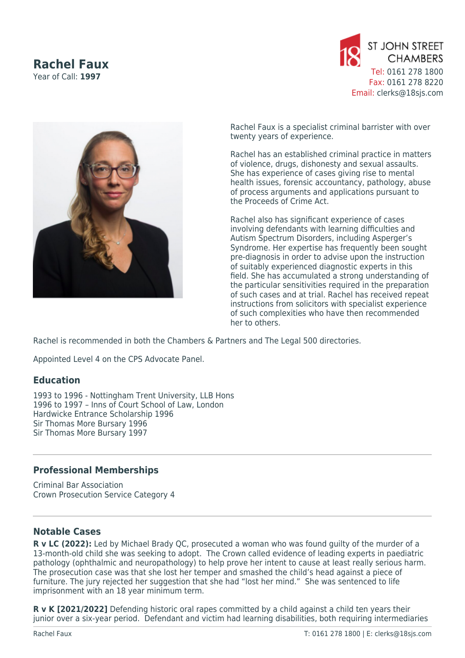## **Rachel Faux**

Year of Call: **1997**





Rachel Faux is a specialist criminal barrister with over twenty years of experience.

Rachel has an established criminal practice in matters of violence, drugs, dishonesty and sexual assaults. She has experience of cases giving rise to mental health issues, forensic accountancy, pathology, abuse of process arguments and applications pursuant to the Proceeds of Crime Act.

Rachel also has significant experience of cases involving defendants with learning difficulties and Autism Spectrum Disorders, including Asperger's Syndrome. Her expertise has frequently been sought pre-diagnosis in order to advise upon the instruction of suitably experienced diagnostic experts in this field. She has accumulated a strong understanding of the particular sensitivities required in the preparation of such cases and at trial. Rachel has received repeat instructions from solicitors with specialist experience of such complexities who have then recommended her to others.

Rachel is recommended in both the Chambers & Partners and The Legal 500 directories.

Appointed Level 4 on the CPS Advocate Panel.

## **Education**

1993 to 1996 - Nottingham Trent University, LLB Hons 1996 to 1997 – Inns of Court School of Law, London Hardwicke Entrance Scholarship 1996 Sir Thomas More Bursary 1996 Sir Thomas More Bursary 1997

## **Professional Memberships**

Criminal Bar Association Crown Prosecution Service Category 4

## **Notable Cases**

**R v LC (2022):** Led by Michael Brady QC, prosecuted a woman who was found guilty of the murder of a 13-month-old child she was seeking to adopt. The Crown called evidence of leading experts in paediatric pathology (ophthalmic and neuropathology) to help prove her intent to cause at least really serious harm. The prosecution case was that she lost her temper and smashed the child's head against a piece of furniture. The jury rejected her suggestion that she had "lost her mind." She was sentenced to life imprisonment with an 18 year minimum term.

**R v K [2021/2022]** Defending historic oral rapes committed by a child against a child ten years their junior over a six-year period. Defendant and victim had learning disabilities, both requiring intermediaries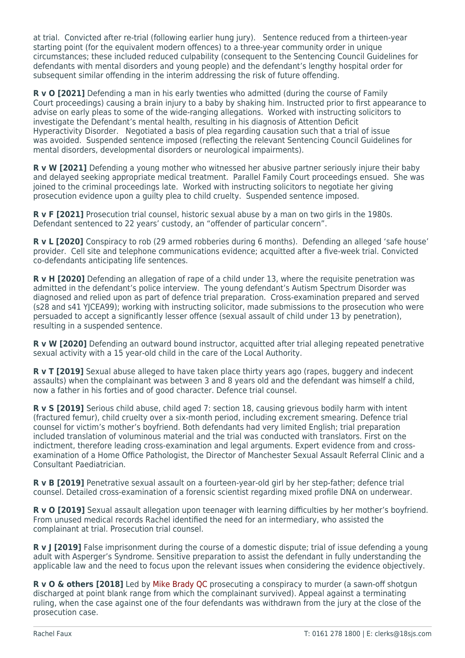at trial. Convicted after re-trial (following earlier hung jury). Sentence reduced from a thirteen-year starting point (for the equivalent modern offences) to a three-year community order in unique circumstances; these included reduced culpability (consequent to the Sentencing Council Guidelines for defendants with mental disorders and young people) and the defendant's lengthy hospital order for subsequent similar offending in the interim addressing the risk of future offending.

**R v O [2021]** Defending a man in his early twenties who admitted (during the course of Family Court proceedings) causing a brain injury to a baby by shaking him. Instructed prior to first appearance to advise on early pleas to some of the wide-ranging allegations. Worked with instructing solicitors to investigate the Defendant's mental health, resulting in his diagnosis of Attention Deficit Hyperactivity Disorder. Negotiated a basis of plea regarding causation such that a trial of issue was avoided. Suspended sentence imposed (reflecting the relevant Sentencing Council Guidelines for mental disorders, developmental disorders or neurological impairments).

**R v W [2021]** Defending a young mother who witnessed her abusive partner seriously injure their baby and delayed seeking appropriate medical treatment. Parallel Family Court proceedings ensued. She was joined to the criminal proceedings late. Worked with instructing solicitors to negotiate her giving prosecution evidence upon a guilty plea to child cruelty. Suspended sentence imposed.

**R v F [2021]** Prosecution trial counsel, historic sexual abuse by a man on two girls in the 1980s. Defendant sentenced to 22 years' custody, an "offender of particular concern".

**R v L [2020]** Conspiracy to rob (29 armed robberies during 6 months). Defending an alleged 'safe house' provider. Cell site and telephone communications evidence; acquitted after a five-week trial. Convicted co-defendants anticipating life sentences.

**R v H [2020]** Defending an allegation of rape of a child under 13, where the requisite penetration was admitted in the defendant's police interview. The young defendant's Autism Spectrum Disorder was diagnosed and relied upon as part of defence trial preparation. Cross-examination prepared and served (s28 and s41 YJCEA99); working with instructing solicitor, made submissions to the prosecution who were persuaded to accept a significantly lesser offence (sexual assault of child under 13 by penetration), resulting in a suspended sentence.

**R v W [2020]** Defending an outward bound instructor, acquitted after trial alleging repeated penetrative sexual activity with a 15 year-old child in the care of the Local Authority.

**R v T [2019]** Sexual abuse alleged to have taken place thirty years ago (rapes, buggery and indecent assaults) when the complainant was between 3 and 8 years old and the defendant was himself a child, now a father in his forties and of good character. Defence trial counsel.

**R v S [2019]** Serious child abuse, child aged 7: section 18, causing grievous bodily harm with intent (fractured femur), child cruelty over a six-month period, including excrement smearing. Defence trial counsel for victim's mother's boyfriend. Both defendants had very limited English; trial preparation included translation of voluminous material and the trial was conducted with translators. First on the indictment, therefore leading cross-examination and legal arguments. Expert evidence from and crossexamination of a Home Office Pathologist, the Director of Manchester Sexual Assault Referral Clinic and a Consultant Paediatrician.

**R v B [2019]** Penetrative sexual assault on a fourteen-year-old girl by her step-father; defence trial counsel. Detailed cross-examination of a forensic scientist regarding mixed profile DNA on underwear.

**R v O [2019]** Sexual assault allegation upon teenager with learning difficulties by her mother's boyfriend. From unused medical records Rachel identified the need for an intermediary, who assisted the complainant at trial. Prosecution trial counsel.

**R v J [2019]** False imprisonment during the course of a domestic dispute; trial of issue defending a young adult with Asperger's Syndrome. Sensitive preparation to assist the defendant in fully understanding the applicable law and the need to focus upon the relevant issues when considering the evidence objectively.

**R v O & others [2018]** Led by [Mike Brady QC](https://www.18sjs.com/people/mike-brady/) prosecuting a conspiracy to murder (a sawn-off shotgun discharged at point blank range from which the complainant survived). Appeal against a terminating ruling, when the case against one of the four defendants was withdrawn from the jury at the close of the prosecution case.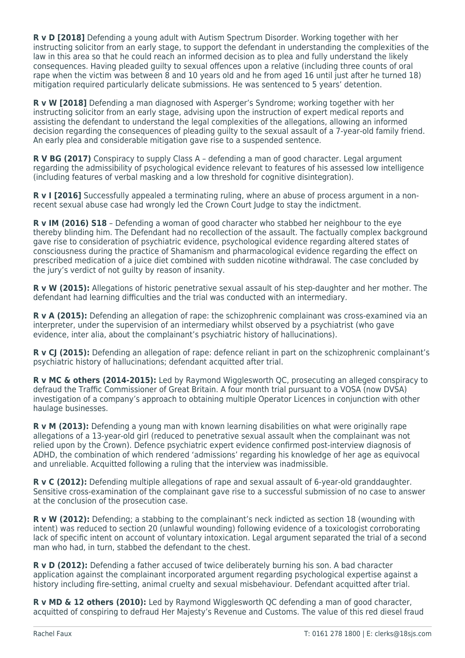**R v D [2018]** Defending a young adult with Autism Spectrum Disorder. Working together with her instructing solicitor from an early stage, to support the defendant in understanding the complexities of the law in this area so that he could reach an informed decision as to plea and fully understand the likely consequences. Having pleaded guilty to sexual offences upon a relative (including three counts of oral rape when the victim was between 8 and 10 years old and he from aged 16 until just after he turned 18) mitigation required particularly delicate submissions. He was sentenced to 5 years' detention.

**R v W [2018]** Defending a man diagnosed with Asperger's Syndrome; working together with her instructing solicitor from an early stage, advising upon the instruction of expert medical reports and assisting the defendant to understand the legal complexities of the allegations, allowing an informed decision regarding the consequences of pleading guilty to the sexual assault of a 7-year-old family friend. An early plea and considerable mitigation gave rise to a suspended sentence.

**R V BG (2017)** Conspiracy to supply Class A – defending a man of good character. Legal argument regarding the admissibility of psychological evidence relevant to features of his assessed low intelligence (including features of verbal masking and a low threshold for cognitive disintegration).

**R v I [2016]** Successfully appealed a terminating ruling, where an abuse of process argument in a nonrecent sexual abuse case had wrongly led the Crown Court Judge to stay the indictment.

**R v IM (2016) S18** – Defending a woman of good character who stabbed her neighbour to the eye thereby blinding him. The Defendant had no recollection of the assault. The factually complex background gave rise to consideration of psychiatric evidence, psychological evidence regarding altered states of consciousness during the practice of Shamanism and pharmacological evidence regarding the effect on prescribed medication of a juice diet combined with sudden nicotine withdrawal. The case concluded by the jury's verdict of not guilty by reason of insanity.

**R v W (2015):** Allegations of historic penetrative sexual assault of his step-daughter and her mother. The defendant had learning difficulties and the trial was conducted with an intermediary.

**R v A (2015):** Defending an allegation of rape: the schizophrenic complainant was cross-examined via an interpreter, under the supervision of an intermediary whilst observed by a psychiatrist (who gave evidence, inter alia, about the complainant's psychiatric history of hallucinations).

**R v CJ (2015):** Defending an allegation of rape: defence reliant in part on the schizophrenic complainant's psychiatric history of hallucinations; defendant acquitted after trial.

**R v MC & others (2014-2015):** Led by Raymond Wigglesworth QC, prosecuting an alleged conspiracy to defraud the Traffic Commissioner of Great Britain. A four month trial pursuant to a VOSA (now DVSA) investigation of a company's approach to obtaining multiple Operator Licences in conjunction with other haulage businesses.

**R v M (2013):** Defending a young man with known learning disabilities on what were originally rape allegations of a 13-year-old girl (reduced to penetrative sexual assault when the complainant was not relied upon by the Crown). Defence psychiatric expert evidence confirmed post-interview diagnosis of ADHD, the combination of which rendered 'admissions' regarding his knowledge of her age as equivocal and unreliable. Acquitted following a ruling that the interview was inadmissible.

**R v C (2012):** Defending multiple allegations of rape and sexual assault of 6-year-old granddaughter. Sensitive cross-examination of the complainant gave rise to a successful submission of no case to answer at the conclusion of the prosecution case.

**R v W (2012):** Defending; a stabbing to the complainant's neck indicted as section 18 (wounding with intent) was reduced to section 20 (unlawful wounding) following evidence of a toxicologist corroborating lack of specific intent on account of voluntary intoxication. Legal argument separated the trial of a second man who had, in turn, stabbed the defendant to the chest.

**R v D (2012):** Defending a father accused of twice deliberately burning his son. A bad character application against the complainant incorporated argument regarding psychological expertise against a history including fire-setting, animal cruelty and sexual misbehaviour. Defendant acquitted after trial.

**R v MD & 12 others (2010):** Led by Raymond Wigglesworth QC defending a man of good character, acquitted of conspiring to defraud Her Majesty's Revenue and Customs. The value of this red diesel fraud